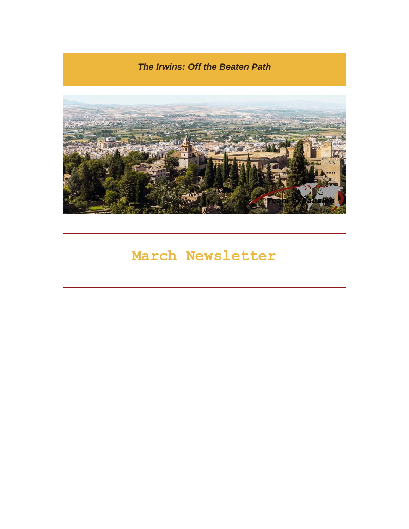*The Irwins: Off the Beaten Path*



# **March Newsletter**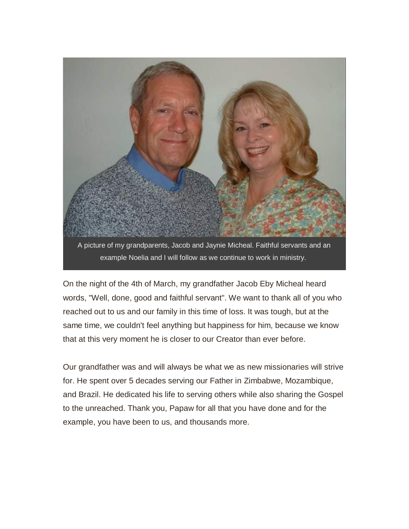

On the night of the 4th of March, my grandfather Jacob Eby Micheal heard words, "Well, done, good and faithful servant". We want to thank all of you who reached out to us and our family in this time of loss. It was tough, but at the same time, we couldn't feel anything but happiness for him, because we know that at this very moment he is closer to our Creator than ever before.

Our grandfather was and will always be what we as new missionaries will strive for. He spent over 5 decades serving our Father in Zimbabwe, Mozambique, and Brazil. He dedicated his life to serving others while also sharing the Gospel to the unreached. Thank you, Papaw for all that you have done and for the example, you have been to us, and thousands more.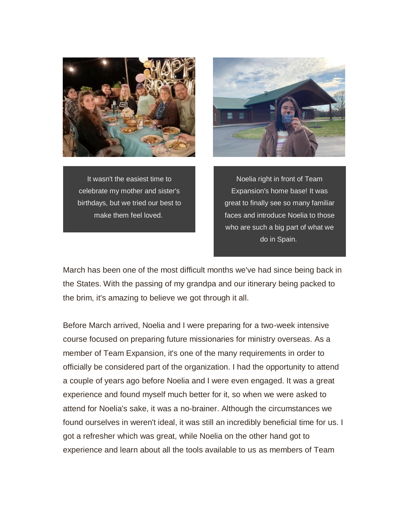

It wasn't the easiest time to celebrate my mother and sister's birthdays, but we tried our best to make them feel loved.



Noelia right in front of Team Expansion's home base! It was great to finally see so many familiar faces and introduce Noelia to those who are such a big part of what we do in Spain.

March has been one of the most difficult months we've had since being back in the States. With the passing of my grandpa and our itinerary being packed to the brim, it's amazing to believe we got through it all.

Before March arrived, Noelia and I were preparing for a two-week intensive course focused on preparing future missionaries for ministry overseas. As a member of Team Expansion, it's one of the many requirements in order to officially be considered part of the organization. I had the opportunity to attend a couple of years ago before Noelia and I were even engaged. It was a great experience and found myself much better for it, so when we were asked to attend for Noelia's sake, it was a no-brainer. Although the circumstances we found ourselves in weren't ideal, it was still an incredibly beneficial time for us. I got a refresher which was great, while Noelia on the other hand got to experience and learn about all the tools available to us as members of Team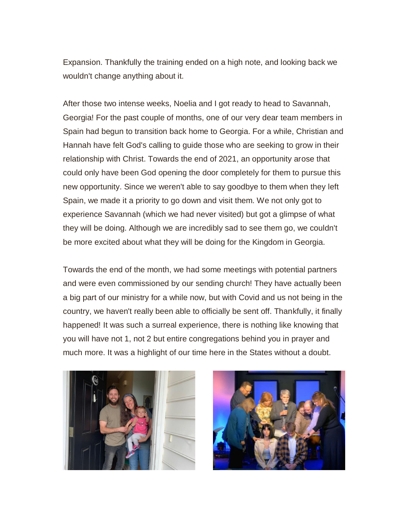Expansion. Thankfully the training ended on a high note, and looking back we wouldn't change anything about it.

After those two intense weeks, Noelia and I got ready to head to Savannah, Georgia! For the past couple of months, one of our very dear team members in Spain had begun to transition back home to Georgia. For a while, Christian and Hannah have felt God's calling to guide those who are seeking to grow in their relationship with Christ. Towards the end of 2021, an opportunity arose that could only have been God opening the door completely for them to pursue this new opportunity. Since we weren't able to say goodbye to them when they left Spain, we made it a priority to go down and visit them. We not only got to experience Savannah (which we had never visited) but got a glimpse of what they will be doing. Although we are incredibly sad to see them go, we couldn't be more excited about what they will be doing for the Kingdom in Georgia.

Towards the end of the month, we had some meetings with potential partners and were even commissioned by our sending church! They have actually been a big part of our ministry for a while now, but with Covid and us not being in the country, we haven't really been able to officially be sent off. Thankfully, it finally happened! It was such a surreal experience, there is nothing like knowing that you will have not 1, not 2 but entire congregations behind you in prayer and much more. It was a highlight of our time here in the States without a doubt.



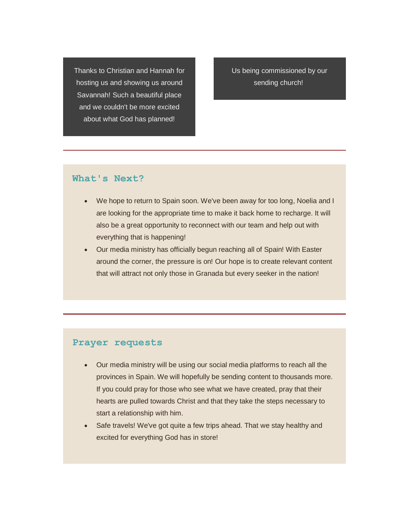Thanks to Christian and Hannah for hosting us and showing us around Savannah! Such a beautiful place and we couldn't be more excited about what God has planned!

Us being commissioned by our sending church!

### **What's Next?**

- We hope to return to Spain soon. We've been away for too long, Noelia and I are looking for the appropriate time to make it back home to recharge. It will also be a great opportunity to reconnect with our team and help out with everything that is happening!
- Our media ministry has officially begun reaching all of Spain! With Easter around the corner, the pressure is on! Our hope is to create relevant content that will attract not only those in Granada but every seeker in the nation!

#### **Prayer requests**

- Our media ministry will be using our social media platforms to reach all the provinces in Spain. We will hopefully be sending content to thousands more. If you could pray for those who see what we have created, pray that their hearts are pulled towards Christ and that they take the steps necessary to start a relationship with him.
- Safe travels! We've got quite a few trips ahead. That we stay healthy and excited for everything God has in store!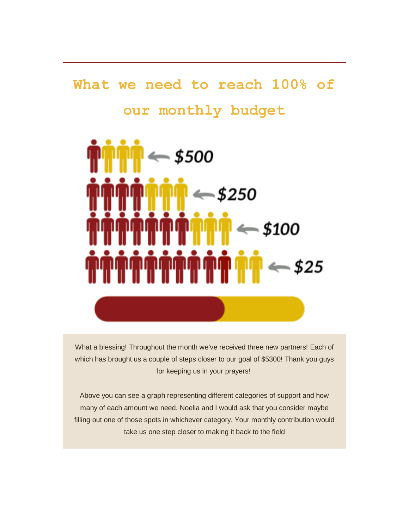# **What we need to reach 100% of our monthly budget**



What a blessing! Throughout the month we've received three new partners! Each of which has brought us a couple of steps closer to our goal of \$5300! Thank you guys for keeping us in your prayers!

Above you can see a graph representing different categories of support and how many of each amount we need. Noelia and I would ask that you consider maybe filling out one of those spots in whichever category. Your monthly contribution would take us one step closer to making it back to the field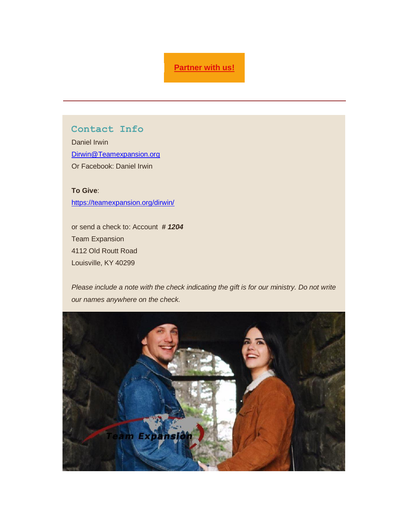### **[Partner with us!](https://gmail.us4.list-manage.com/track/click?u=7356d44fc4480a10453d52145&id=f0e8fbb816&e=c1e982abf6)**

### **Contact Info**

Daniel Irwin [Dirwin@Teamexpansion.org](mailto:Dirwin@Teamexpansion.org) Or Facebook: Daniel Irwin

**To Give**: <https://teamexpansion.org/dirwin/>

or send a check to: Account *# 1204* Team Expansion 4112 Old Routt Road Louisville, KY 40299

*Please include a note with the check indicating the gift is for our ministry. Do not write our names anywhere on the check.*

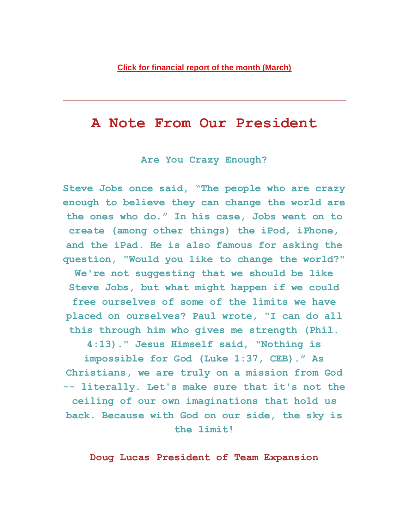## **A Note From Our President**

**Are You Crazy Enough?**

**Steve Jobs once said, "The people who are crazy enough to believe they can change the world are the ones who do." In his case, Jobs went on to create (among other things) the iPod, iPhone, and the iPad. He is also famous for asking the question, "Would you like to change the world?" We're not suggesting that we should be like Steve Jobs, but what might happen if we could free ourselves of some of the limits we have placed on ourselves? Paul wrote, "I can do all this through him who gives me strength (Phil. 4:13)." Jesus Himself said, "Nothing is** 

**impossible for God (Luke 1:37, CEB)." As Christians, we are truly on a mission from God -- literally. Let's make sure that it's not the ceiling of our own imaginations that hold us back. Because with God on our side, the sky is the limit!**

**Doug Lucas President of Team Expansion**